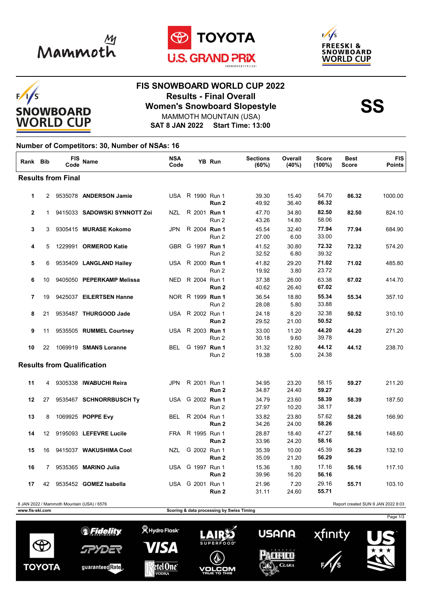







## **FIS SNOWBOARD WORLD CUP 2022 Results - Final Overall<br>
Women's Snowboard Slopestyle<br>
MAMMOTH MOUNTAIN (USA)** MAMMOTH MOUNTAIN (USA)

**SAT 8 JAN 2022 Start Time: 13:00**

## **Number of Competitors: 30, Number of NSAs: 16**

| Rank Bib                          |                | <b>FIS</b><br>Code | <b>Name</b>                  | <b>NSA</b><br>Code |                  | <b>YB Run</b>    | <b>Sections</b><br>(60%) | Overall<br>(40%) | <b>Score</b><br>$(100\%)$ | <b>Best</b><br><b>Score</b> | <b>FIS</b><br><b>Points</b> |
|-----------------------------------|----------------|--------------------|------------------------------|--------------------|------------------|------------------|--------------------------|------------------|---------------------------|-----------------------------|-----------------------------|
| <b>Results from Final</b>         |                |                    |                              |                    |                  |                  |                          |                  |                           |                             |                             |
| $\mathbf{1}$                      |                |                    | 2 9535078 ANDERSON Jamie     |                    | USA R 1990 Run 1 | Run <sub>2</sub> | 39.30<br>49.92           | 15.40<br>36.40   | 54.70<br>86.32            | 86.32                       | 1000.00                     |
| $\mathbf{2}$                      | $\mathbf{1}$   |                    | 9415033 SADOWSKI SYNNOTT Zoi | <b>NZL</b>         | R 2001 Run 1     | Run 2            | 47.70<br>43.26           | 34.80<br>14.80   | 82.50<br>58.06            | 82.50                       | 824.10                      |
| 3                                 | 3              |                    | 9305415 MURASE Kokomo        | <b>JPN</b>         | R 2004 Run 1     | Run 2            | 45.54<br>27.00           | 32.40<br>6.00    | 77.94<br>33.00            | 77.94                       | 684.90                      |
| 4                                 | 5              |                    | 1229991 ORMEROD Katie        |                    | GBR G 1997 Run 1 | Run 2            | 41.52<br>32.52           | 30.80<br>6.80    | 72.32<br>39.32            | 72.32                       | 574.20                      |
| 5                                 | 6              |                    | 9535409 LANGLAND Hailey      |                    | USA R 2000 Run 1 | Run 2            | 41.82<br>19.92           | 29.20<br>3.80    | 71.02<br>23.72            | 71.02                       | 485.80                      |
| 6                                 | 10             |                    | 9405050 PEPERKAMP Melissa    | <b>NED</b>         | R 2004 Run 1     | Run <sub>2</sub> | 37.38<br>40.62           | 26.00<br>26.40   | 63.38<br>67.02            | 67.02                       | 414.70                      |
| 7                                 | 19             |                    | 9425037 EILERTSEN Hanne      |                    | NOR R 1999 Run 1 | Run 2            | 36.54<br>28.08           | 18.80<br>5.80    | 55.34<br>33.88            | 55.34                       | 357.10                      |
| 8                                 | 21             |                    | 9535487 THURGOOD Jade        |                    | USA R 2002 Run 1 | Run <sub>2</sub> | 24.18<br>29.52           | 8.20<br>21.00    | 32.38<br>50.52            | 50.52                       | 310.10                      |
| 9                                 | 11             |                    | 9535505 RUMMEL Courtney      | <b>USA</b>         | R 2003 Run 1     | Run 2            | 33.00<br>30.18           | 11.20<br>9.60    | 44.20<br>39.78            | 44.20                       | 271.20                      |
| 10                                | 22             |                    | 1069919 SMANS Loranne        | BEL                | G 1997 Run 1     | Run 2            | 31.32<br>19.38           | 12.80<br>5.00    | 44.12<br>24.38            | 44.12                       | 238.70                      |
| <b>Results from Qualification</b> |                |                    |                              |                    |                  |                  |                          |                  |                           |                             |                             |
| 11                                | 4              |                    | 9305338 IWABUCHI Reira       | <b>JPN</b>         | R 2001 Run 1     | Run <sub>2</sub> | 34.95<br>34.87           | 23.20<br>24.40   | 58.15<br>59.27            | 59.27                       | 211.20                      |
| 12                                | 27             |                    | 9535467 SCHNORRBUSCH Ty      | USA                | G 2002 Run 1     | Run 2            | 34.79<br>27.97           | 23.60<br>10.20   | 58.39<br>38.17            | 58.39                       | 187.50                      |
| 13                                | 8              |                    | 1069925 POPPE Evy            | <b>BEL</b>         | R 2004 Run 1     | Run <sub>2</sub> | 33.82<br>34.26           | 23.80<br>24.00   | 57.62<br>58.26            | 58.26                       | 166.90                      |
| 14                                | 12             |                    | 9195093 LEFEVRE Lucile       | <b>FRA</b>         | R 1995 Run 1     | Run <sub>2</sub> | 28.87<br>33.96           | 18.40<br>24.20   | 47.27<br>58.16            | 58.16                       | 148.60                      |
| 15                                | 16             |                    | 9415037 WAKUSHIMA Cool       | <b>NZL</b>         | G 2002 Run 1     | Run 2            | 35.39<br>35.09           | 10.00<br>21.20   | 45.39<br>56.29            | 56.29                       | 132.10                      |
| 16                                | $\overline{7}$ |                    | 9535365 MARINO Julia         |                    | USA G 1997 Run 1 | Run 2            | 15.36<br>39.96           | 1.80<br>16.20    | 17.16<br>56.16            | 56.16                       | 117.10                      |
| 17                                | 42             |                    | 9535452 GOMEZ Isabella       |                    | USA G 2001 Run 1 | Run 2            | 21.96<br>31.11           | 7.20<br>24.60    | 29.16<br>55.71            | 55.71                       | 103.10                      |

8 JAN 2022 / Mammoth Mountain (USA) / 6576 Report created SUN 9 JAN 2022 8:03

**www.fis-ski.com Scoring & data processing by Swiss Timing**

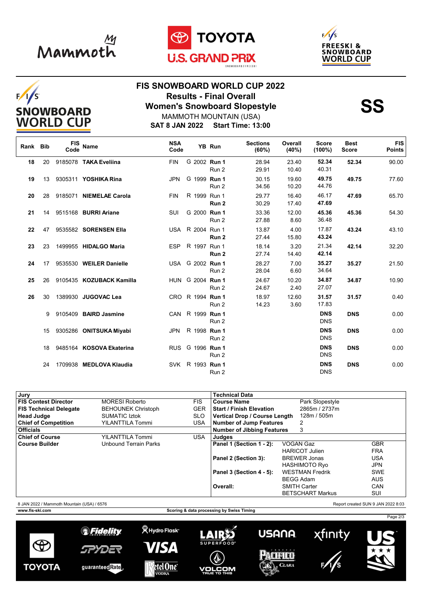







## **FIS SNOWBOARD WORLD CUP 2022 Results - Final Overall<br>
Women's Snowboard Slopestyle<br>
MAMMOTH MOUNTAIN (USA)** MAMMOTH MOUNTAIN (USA)

**SAT 8 JAN 2022 Start Time: 13:00**

| Rank Bib |    | FIS<br>Code | <b>Name</b>                    | <b>NSA</b><br>Code |                  | YB Run | <b>Sections</b><br>(60%) | Overall<br>(40%) | <b>Score</b><br>(100%)   | <b>Best</b><br><b>Score</b> | <b>FIS</b><br><b>Points</b> |
|----------|----|-------------|--------------------------------|--------------------|------------------|--------|--------------------------|------------------|--------------------------|-----------------------------|-----------------------------|
| 18       | 20 |             | 9185078 TAKA Eveliina          | <b>FIN</b>         | G 2002 Run 1     | Run 2  | 28.94<br>29.91           | 23.40<br>10.40   | 52.34<br>40.31           | 52.34                       | 90.00                       |
| 19       | 13 |             | 9305311 <b>YOSHIKA Rina</b>    | <b>JPN</b>         | G 1999 Run 1     | Run 2  | 30.15<br>34.56           | 19.60<br>10.20   | 49.75<br>44.76           | 49.75                       | 77.60                       |
| 20       | 28 |             | 9185071 NIEMELAE Carola        | <b>FIN</b>         | R 1999 Run 1     | Run 2  | 29.77<br>30.29           | 16.40<br>17.40   | 46.17<br>47.69           | 47.69                       | 65.70                       |
| 21       |    |             | 14 9515168 <b>BURRI Ariane</b> | SUI                | G 2000 Run 1     | Run 2  | 33.36<br>27.88           | 12.00<br>8.60    | 45.36<br>36.48           | 45.36                       | 54.30                       |
| 22       |    |             | 47 9535582 SORENSEN Ella       |                    | USA R 2004 Run 1 | Run 2  | 13.87<br>27.44           | 4.00<br>15.80    | 17.87<br>43.24           | 43.24                       | 43.10                       |
| 23       | 23 |             | 1499955 HIDALGO Maria          |                    | ESP R 1997 Run 1 | Run 2  | 18.14<br>27.74           | 3.20<br>14.40    | 21.34<br>42.14           | 42.14                       | 32.20                       |
| 24       | 17 |             | 9535530 WEILER Danielle        |                    | USA G 2002 Run 1 | Run 2  | 28.27<br>28.04           | 7.00<br>6.60     | 35.27<br>34.64           | 35.27                       | 21.50                       |
| 25       |    |             | 26 9105435 KOZUBACK Kamilla    |                    | HUN G 2004 Run 1 | Run 2  | 24.67<br>24.67           | 10.20<br>2.40    | 34.87<br>27.07           | 34.87                       | 10.90                       |
| 26       | 30 |             | 1389930 JUGOVAC Lea            |                    | CRO R 1994 Run 1 | Run 2  | 18.97<br>14.23           | 12.60<br>3.60    | 31.57<br>17.83           | 31.57                       | 0.40                        |
|          | 9  |             | 9105409 BAIRD Jasmine          |                    | CAN R 1999 Run 1 | Run 2  |                          |                  | <b>DNS</b><br><b>DNS</b> | <b>DNS</b>                  | 0.00                        |
|          | 15 |             | 9305286 ONITSUKA Miyabi        |                    | JPN R 1998 Run 1 | Run 2  |                          |                  | <b>DNS</b><br><b>DNS</b> | <b>DNS</b>                  | 0.00                        |
|          | 18 |             | 9485164 KOSOVA Ekaterina       |                    | RUS G 1996 Run 1 | Run 2  |                          |                  | <b>DNS</b><br><b>DNS</b> | <b>DNS</b>                  | 0.00                        |
|          | 24 |             | 1709938 MEDLOVA Klaudia        |                    | SVK R 1993 Run 1 | Run 2  |                          |                  | <b>DNS</b><br><b>DNS</b> | <b>DNS</b>                  | 0.00                        |

| Jury                                       |                           |            | Technical Data                              |                         |                                    |  |  |
|--------------------------------------------|---------------------------|------------|---------------------------------------------|-------------------------|------------------------------------|--|--|
| <b>FIS Contest Director</b>                | <b>MORESI Roberto</b>     | <b>FIS</b> | <b>Course Name</b>                          | Park Slopestyle         |                                    |  |  |
| <b>FIS Technical Delegate</b>              | <b>BEHOUNEK Christoph</b> | <b>GER</b> | <b>Start / Finish Elevation</b>             | 2865m / 2737m           |                                    |  |  |
| <b>Head Judge</b>                          | <b>SUMATIC Iztok</b>      | <b>SLO</b> | <b>Vertical Drop / Course Length</b>        | 128m / 505m             |                                    |  |  |
| <b>Chief of Competition</b>                | <b>YILANTTILA Tommi</b>   | <b>USA</b> | Number of Jump Features                     |                         |                                    |  |  |
| <b>Officials</b>                           |                           |            | <b>Number of Jibbing Features</b><br>3      |                         |                                    |  |  |
| <b>Chief of Course</b>                     | YILANTTILA Tommi          | USA.       | Judges                                      |                         |                                    |  |  |
| <b>Course Builder</b>                      | Unbound Terrain Parks     |            | Panel 1 (Section 1 - 2):                    | VOGAN Gaz               | <b>GBR</b>                         |  |  |
|                                            |                           |            |                                             | <b>HARICOT Julien</b>   | <b>FRA</b>                         |  |  |
|                                            |                           |            | Panel 2 (Section 3):<br><b>BREWER Jonas</b> |                         | <b>USA</b>                         |  |  |
|                                            |                           |            |                                             | <b>HASHIMOTO Ryo</b>    | <b>JPN</b>                         |  |  |
|                                            |                           |            | Panel 3 (Section 4 - 5):                    | <b>WESTMAN Fredrik</b>  | <b>SWE</b>                         |  |  |
|                                            |                           |            |                                             | <b>BEGG Adam</b>        | <b>AUS</b>                         |  |  |
|                                            |                           |            | Overall:                                    | <b>SMITH Carter</b>     | CAN                                |  |  |
|                                            |                           |            |                                             | <b>BETSCHART Markus</b> | SUI                                |  |  |
| 8 JAN 2022 / Mammoth Mountain (USA) / 6576 |                           |            |                                             |                         | Report created SUN 9 JAN 2022 8:03 |  |  |

 $\Theta$ 

**WWW.fis-ski.com Scoring & data processing by Swiss Timing** 





**VOLCOM** 



**USANA** 





Page 2/3